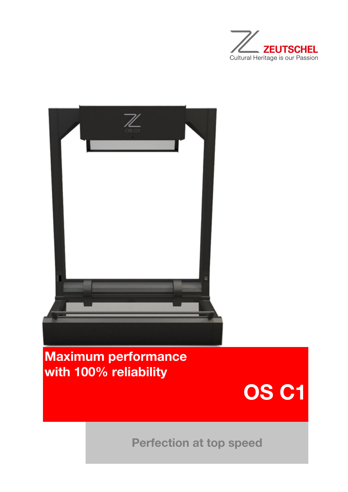



## Maximum performance with 100% reliability



Perfection at top speed